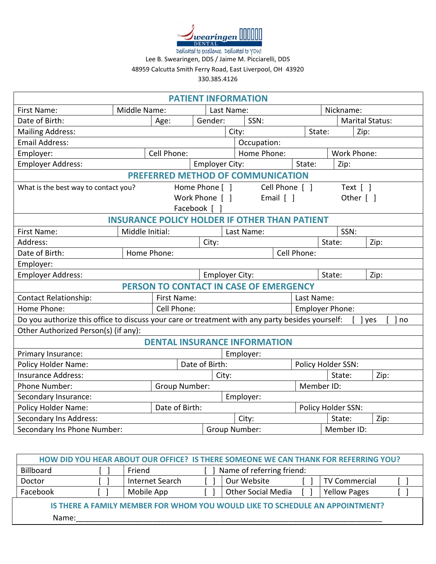

Dedicated to excellence. Dedicated to YOU! Lee B. Swearingen, DDS / Jaime M. Picciarelli, DDS 48959 Calcutta Smith Ferry Road, East Liverpool, OH 43920

330.385.4126

| <b>PATIENT INFORMATION</b>                                                                      |                 |                                        |              |                 |                       |  |                       |                        |                        |                         |             |
|-------------------------------------------------------------------------------------------------|-----------------|----------------------------------------|--------------|-----------------|-----------------------|--|-----------------------|------------------------|------------------------|-------------------------|-------------|
| First Name:                                                                                     | Middle Name:    |                                        |              | Last Name:      |                       |  | Nickname:             |                        |                        |                         |             |
| Date of Birth:                                                                                  | Age:            |                                        |              | SSN:<br>Gender: |                       |  |                       | <b>Marital Status:</b> |                        |                         |             |
| <b>Mailing Address:</b>                                                                         |                 |                                        |              |                 | City:                 |  |                       |                        | State:                 | Zip:                    |             |
| <b>Email Address:</b>                                                                           |                 |                                        |              |                 |                       |  | Occupation:           |                        |                        |                         |             |
| Employer:                                                                                       |                 | Cell Phone:                            |              |                 |                       |  | Home Phone:           |                        |                        | Work Phone:             |             |
| <b>Employer Address:</b>                                                                        |                 |                                        |              |                 | <b>Employer City:</b> |  |                       | State:                 |                        | Zip:                    |             |
| PREFERRED METHOD OF COMMUNICATION                                                               |                 |                                        |              |                 |                       |  |                       |                        |                        |                         |             |
| What is the best way to contact you?                                                            |                 |                                        |              | Home Phone [ ]  |                       |  | Cell Phone [ ]        |                        |                        | Text $\lceil \; \rceil$ |             |
|                                                                                                 |                 |                                        |              | Work Phone [ ]  |                       |  | Email $\lceil \rceil$ |                        |                        | Other [ ]               |             |
|                                                                                                 |                 |                                        | Facebook [ ] |                 |                       |  |                       |                        |                        |                         |             |
| <b>INSURANCE POLICY HOLDER IF OTHER THAN PATIENT</b>                                            |                 |                                        |              |                 |                       |  |                       |                        |                        |                         |             |
| First Name:                                                                                     | Middle Initial: |                                        |              |                 | Last Name:            |  |                       |                        |                        | SSN:                    |             |
| Address:                                                                                        |                 |                                        |              | City:           |                       |  |                       |                        |                        | State:                  | Zip:        |
| Home Phone:<br>Date of Birth:                                                                   |                 |                                        |              | Cell Phone:     |                       |  |                       |                        |                        |                         |             |
| Employer:                                                                                       |                 |                                        |              |                 |                       |  |                       |                        |                        |                         |             |
| <b>Employer Address:</b>                                                                        |                 |                                        |              |                 | <b>Employer City:</b> |  |                       |                        |                        | State:                  | Zip:        |
|                                                                                                 |                 | PERSON TO CONTACT IN CASE OF EMERGENCY |              |                 |                       |  |                       |                        |                        |                         |             |
| <b>Contact Relationship:</b><br>First Name:                                                     |                 |                                        |              |                 |                       |  |                       | Last Name:             |                        |                         |             |
| Home Phone:<br>Cell Phone:                                                                      |                 |                                        |              |                 |                       |  |                       |                        | <b>Employer Phone:</b> |                         |             |
| Do you authorize this office to discuss your care or treatment with any party besides yourself: |                 |                                        |              |                 |                       |  |                       |                        |                        |                         | no<br>l yes |
| Other Authorized Person(s) (if any):                                                            |                 |                                        |              |                 |                       |  |                       |                        |                        |                         |             |
|                                                                                                 |                 | <b>DENTAL INSURANCE INFORMATION</b>    |              |                 |                       |  |                       |                        |                        |                         |             |
| Primary Insurance:                                                                              |                 |                                        |              |                 | Employer:             |  |                       |                        |                        |                         |             |
| Policy Holder Name:                                                                             |                 |                                        |              | Date of Birth:  |                       |  | Policy Holder SSN:    |                        |                        |                         |             |
| <b>Insurance Address:</b>                                                                       |                 |                                        |              |                 | City:                 |  |                       |                        |                        | State:                  | Zip:        |
| Phone Number:<br>Group Number:                                                                  |                 |                                        |              |                 |                       |  |                       | Member ID:             |                        |                         |             |
| Secondary Insurance:<br>Employer:                                                               |                 |                                        |              |                 |                       |  |                       |                        |                        |                         |             |
| Date of Birth:<br><b>Policy Holder Name:</b>                                                    |                 |                                        |              |                 |                       |  |                       | Policy Holder SSN:     |                        |                         |             |
| Secondary Ins Address:                                                                          |                 |                                        |              | City:           |                       |  |                       |                        | State:                 | Zip:                    |             |
| Secondary Ins Phone Number:                                                                     |                 |                                        |              | Group Number:   |                       |  |                       | Member ID:             |                        |                         |             |

| HOW DID YOU HEAR ABOUT OUR OFFICE? IS THERE SOMEONE WE CAN THANK FOR REFERRING YOU? |  |                 |  |                           |  |                      |  |
|-------------------------------------------------------------------------------------|--|-----------------|--|---------------------------|--|----------------------|--|
| Name of referring friend:<br>Billboard<br>Friend                                    |  |                 |  |                           |  |                      |  |
| Doctor                                                                              |  | Internet Search |  | Our Website               |  | <b>TV Commercial</b> |  |
| Facebook                                                                            |  | Mobile App      |  | <b>Other Social Media</b> |  | <b>Yellow Pages</b>  |  |
| IS THERE A FAMILY MEMBER FOR WHOM YOU WOULD LIKE TO SCHEDULE AN APPOINTMENT?        |  |                 |  |                           |  |                      |  |
| Name:                                                                               |  |                 |  |                           |  |                      |  |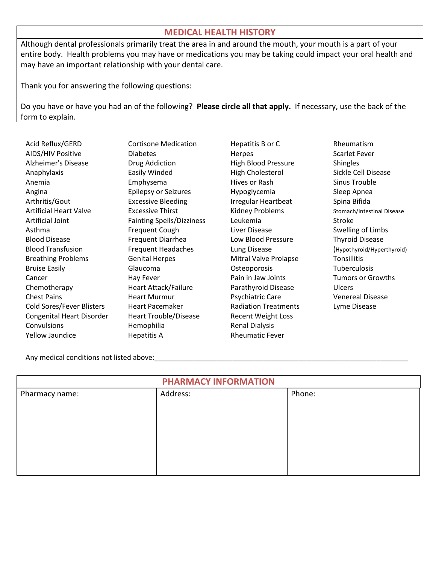## **MEDICAL HEALTH HISTORY**

Although dental professionals primarily treat the area in and around the mouth, your mouth is a part of your entire body. Health problems you may have or medications you may be taking could impact your oral health and may have an important relationship with your dental care.

Thank you for answering the following questions:

Do you have or have you had an of the following? **Please circle all that apply.** If necessary, use the back of the form to explain.

| Acid Reflux/GERD              | <b>Cortisone Medication</b>      | Hepatitis B or C            | Rheumatism           |
|-------------------------------|----------------------------------|-----------------------------|----------------------|
| AIDS/HIV Positive             | <b>Diabetes</b>                  | Herpes                      | Scarlet Fever        |
| <b>Alzheimer's Disease</b>    | Drug Addiction                   | <b>High Blood Pressure</b>  | <b>Shingles</b>      |
| Anaphylaxis                   | Easily Winded                    | High Cholesterol            | Sickle Cell Dis      |
| Anemia                        | Emphysema                        | Hives or Rash               | <b>Sinus Trouble</b> |
| Angina                        | <b>Epilepsy or Seizures</b>      | Hypoglycemia                | Sleep Apnea          |
| Arthritis/Gout                | <b>Excessive Bleeding</b>        | Irregular Heartbeat         | Spina Bifida         |
| <b>Artificial Heart Valve</b> | <b>Excessive Thirst</b>          | Kidney Problems             | Stomach/Intestii     |
| Artificial Joint              | <b>Fainting Spells/Dizziness</b> | Leukemia                    | Stroke               |
| Asthma                        | Frequent Cough                   | Liver Disease               | Swelling of Lir      |
| <b>Blood Disease</b>          | Frequent Diarrhea                | Low Blood Pressure          | <b>Thyroid Disea</b> |
| <b>Blood Transfusion</b>      | <b>Frequent Headaches</b>        | Lung Disease                | (Hypothyroid/Hy      |
| <b>Breathing Problems</b>     | <b>Genital Herpes</b>            | Mitral Valve Prolapse       | Tonsillitis          |
| <b>Bruise Easily</b>          | Glaucoma                         | Osteoporosis                | Tuberculosis         |
| Cancer                        | Hay Fever                        | Pain in Jaw Joints          | Tumors or Gr         |
| Chemotherapy                  | Heart Attack/Failure             | Parathyroid Disease         | <b>Ulcers</b>        |
| <b>Chest Pains</b>            | <b>Heart Murmur</b>              | Psychiatric Care            | <b>Venereal Dise</b> |
| Cold Sores/Fever Blisters     | <b>Heart Pacemaker</b>           | <b>Radiation Treatments</b> | Lyme Disease         |
| Congenital Heart Disorder     | <b>Heart Trouble/Disease</b>     | <b>Recent Weight Loss</b>   |                      |
| Convulsions                   | Hemophilia                       | <b>Renal Dialysis</b>       |                      |
| Yellow Jaundice               | <b>Hepatitis A</b>               | <b>Rheumatic Fever</b>      |                      |

on Beaudication Hepatitis B or C Rheumatism High Blood Pressure Shingles High Cholesterol Sickle Cell Disease angina Epilepsy or Sleep Apnea Sleep Apnea Irregular Heartbeat Spina Bifida Kidney Problems Stomach/Intestinal Disease Liver Disease Swelling of Limbs Low Blood Pressure Thyroid Disease Mitral Valve Prolapse Tonsillitis Osteoporosis **Easily Easily Contract Contract Contract Contract Contract Contract Contract Contract Contract Contract Contract Contract Contract Contract Contract Contract Contract Contract Contract Contract Contract Contr** Pain in Jaw Joints Tumors or Growths Chemotherapy Heart Attack Parathyroid Disease Controllers Psychiatric Care Venereal Disease Radiation Treatments Lyme Disease ase Recent Weight Loss Renal Dialysis Rheumatic Fever

Blood Transfusion Frequence Christian Frequence (Hypothyroid/Hyperthyroid)

Any medical conditions not listed above:

| <b>PHARMACY INFORMATION</b> |          |        |  |  |  |  |
|-----------------------------|----------|--------|--|--|--|--|
| Pharmacy name:              | Address: | Phone: |  |  |  |  |
|                             |          |        |  |  |  |  |
|                             |          |        |  |  |  |  |
|                             |          |        |  |  |  |  |
|                             |          |        |  |  |  |  |
|                             |          |        |  |  |  |  |
|                             |          |        |  |  |  |  |
|                             |          |        |  |  |  |  |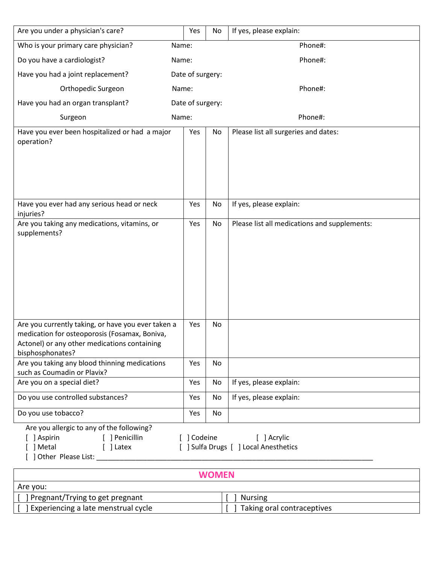| Are you under a physician's care?                                                                                                                                       |       | Yes              | No | If yes, please explain:                              |
|-------------------------------------------------------------------------------------------------------------------------------------------------------------------------|-------|------------------|----|------------------------------------------------------|
| Who is your primary care physician?                                                                                                                                     | Name: |                  |    | Phone#:                                              |
| Do you have a cardiologist?<br>Name:                                                                                                                                    |       |                  |    | Phone#:                                              |
| Have you had a joint replacement?                                                                                                                                       |       | Date of surgery: |    |                                                      |
| Orthopedic Surgeon                                                                                                                                                      | Name: |                  |    | Phone#:                                              |
| Have you had an organ transplant?                                                                                                                                       |       | Date of surgery: |    |                                                      |
| Surgeon                                                                                                                                                                 | Name: |                  |    | Phone#:                                              |
| Have you ever been hospitalized or had a major<br>operation?                                                                                                            |       | Yes              | No | Please list all surgeries and dates:                 |
| Have you ever had any serious head or neck<br>injuries?                                                                                                                 |       | Yes              | No | If yes, please explain:                              |
| Are you taking any medications, vitamins, or<br>supplements?                                                                                                            |       | Yes              | No | Please list all medications and supplements:         |
| Are you currently taking, or have you ever taken a<br>medication for osteoporosis (Fosamax, Boniva,<br>Actonel) or any other medications containing<br>bisphosphonates? |       | Yes              | No |                                                      |
| Are you taking any blood thinning medications<br>such as Coumadin or Plavix?                                                                                            |       | Yes              | No |                                                      |
| Are you on a special diet?                                                                                                                                              |       | Yes              | No | If yes, please explain:                              |
| Do you use controlled substances?                                                                                                                                       |       | Yes              | No | If yes, please explain:                              |
| Do you use tobacco?                                                                                                                                                     |       | Yes              | No |                                                      |
| Are you allergic to any of the following?<br>[ ] Aspirin<br>[ ] Penicillin<br>] Metal<br>[ ] Latex<br>] Other Please List:                                              |       | [ ] Codeine      |    | [ ] Acrylic<br>[ ] Sulfa Drugs [ ] Local Anesthetics |

| <b>WOMEN</b>                        |                            |  |  |  |  |  |
|-------------------------------------|----------------------------|--|--|--|--|--|
| Are you:                            |                            |  |  |  |  |  |
| J Pregnant/Trying to get pregnant   | Nursing                    |  |  |  |  |  |
| Experiencing a late menstrual cycle | Taking oral contraceptives |  |  |  |  |  |